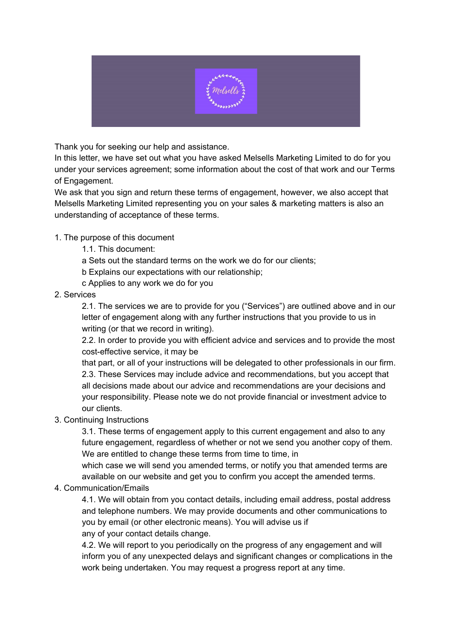

Thank you for seeking our help and assistance.

In this letter, we have set out what you have asked Melsells Marketing Limited to do for you under your services agreement; some information about the cost of that work and our Terms of Engagement.

We ask that you sign and return these terms of engagement, however, we also accept that Melsells Marketing Limited representing you on your sales & marketing matters is also an understanding of acceptance of these terms.

## 1. The purpose of this document

- 1.1. This document:
- a Sets out the standard terms on the work we do for our clients;
- b Explains our expectations with our relationship;
- c Applies to any work we do for you
- 2. Services

2.1. The services we are to provide for you ("Services") are outlined above and in our letter of engagement along with any further instructions that you provide to us in writing (or that we record in writing).

2.2. In order to provide you with efficient advice and services and to provide the most cost-effective service, it may be

that part, or all of your instructions will be delegated to other professionals in our firm. 2.3. These Services may include advice and recommendations, but you accept that all decisions made about our advice and recommendations are your decisions and your responsibility. Please note we do not provide financial or investment advice to our clients.

## 3. Continuing Instructions

3.1. These terms of engagement apply to this current engagement and also to any future engagement, regardless of whether or not we send you another copy of them. We are entitled to change these terms from time to time, in

which case we will send you amended terms, or notify you that amended terms are available on our website and get you to confirm you accept the amended terms.

4. Communication/Emails

4.1. We will obtain from you contact details, including email address, postal address and telephone numbers. We may provide documents and other communications to you by email (or other electronic means). You will advise us if any of your contact details change.

4.2. We will report to you periodically on the progress of any engagement and will inform you of any unexpected delays and significant changes or complications in the work being undertaken. You may request a progress report at any time.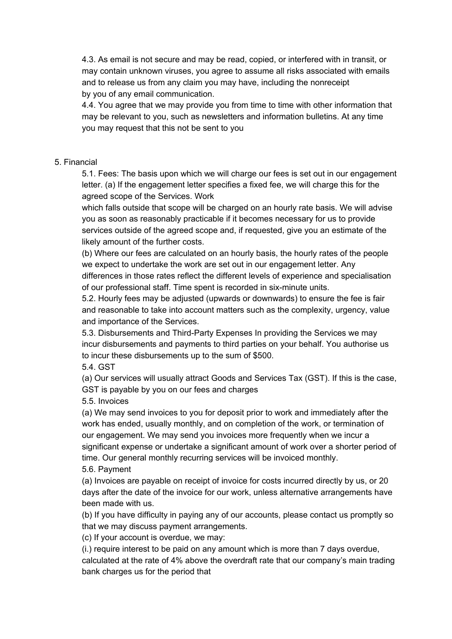4.3. As email is not secure and may be read, copied, or interfered with in transit, or may contain unknown viruses, you agree to assume all risks associated with emails and to release us from any claim you may have, including the nonreceipt by you of any email communication.

4.4. You agree that we may provide you from time to time with other information that may be relevant to you, such as newsletters and information bulletins. At any time you may request that this not be sent to you

#### 5. Financial

5.1. Fees: The basis upon which we will charge our fees is set out in our engagement letter. (a) If the engagement letter specifies a fixed fee, we will charge this for the agreed scope of the Services. Work

which falls outside that scope will be charged on an hourly rate basis. We will advise you as soon as reasonably practicable if it becomes necessary for us to provide services outside of the agreed scope and, if requested, give you an estimate of the likely amount of the further costs.

(b) Where our fees are calculated on an hourly basis, the hourly rates of the people we expect to undertake the work are set out in our engagement letter. Any differences in those rates reflect the different levels of experience and specialisation of our professional staff. Time spent is recorded in six-minute units.

5.2. Hourly fees may be adjusted (upwards or downwards) to ensure the fee is fair and reasonable to take into account matters such as the complexity, urgency, value and importance of the Services.

5.3. Disbursements and Third-Party Expenses In providing the Services we may incur disbursements and payments to third parties on your behalf. You authorise us to incur these disbursements up to the sum of \$500.

5.4. GST

(a) Our services will usually attract Goods and Services Tax (GST). If this is the case, GST is payable by you on our fees and charges

#### 5.5. Invoices

(a) We may send invoices to you for deposit prior to work and immediately after the work has ended, usually monthly, and on completion of the work, or termination of our engagement. We may send you invoices more frequently when we incur a significant expense or undertake a significant amount of work over a shorter period of time. Our general monthly recurring services will be invoiced monthly.

5.6. Payment

(a) Invoices are payable on receipt of invoice for costs incurred directly by us, or 20 days after the date of the invoice for our work, unless alternative arrangements have been made with us.

(b) If you have difficulty in paying any of our accounts, please contact us promptly so that we may discuss payment arrangements.

(c) If your account is overdue, we may:

(i.) require interest to be paid on any amount which is more than 7 days overdue, calculated at the rate of 4% above the overdraft rate that our company's main trading bank charges us for the period that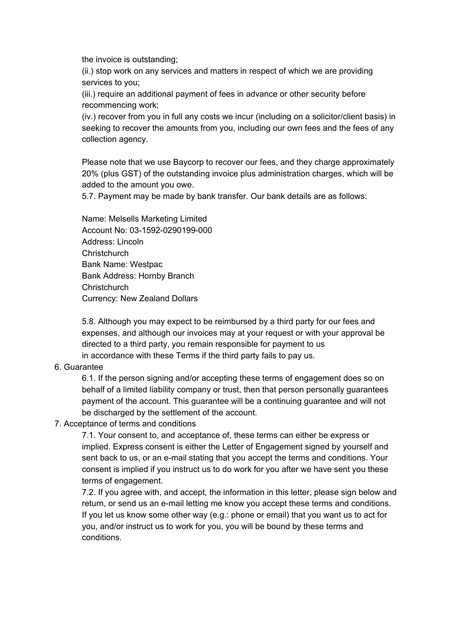the invoice is outstanding;

(ii.) stop work on any services and matters in respect of which we are providing services to you;

(iii.) require an additional payment of fees in advance or other security before recommencing work;

(iv.) recover from you in full any costs we incur (including on a solicitor/client basis) in seeking to recover the amounts from you, including our own fees and the fees of any collection agency.

Please note that we use Baycorp to recover our fees, and they charge approximately 20% (plus GST) of the outstanding invoice plus administration charges, which will be added to the amount you owe.

5.7. Payment may be made by bank transfer. Our bank details are as follows:

Name: Melsells Marketing Limited Account No: 03-1592-0290199-000 Address: Lincoln **Christchurch** Bank Name: Westpac Bank Address: Hornby Branch **Christchurch** Currency: New Zealand Dollars

5.8. Although you may expect to be reimbursed by a third party for our fees and expenses, and although our invoices may at your request or with your approval be directed to a third party, you remain responsible for payment to us in accordance with these Terms if the third party fails to pay us.

## 6. Guarantee

6.1. If the person signing and/or accepting these terms of engagement does so on behalf of a limited liability company or trust, then that person personally guarantees payment of the account. This guarantee will be a continuing guarantee and will not be discharged by the settlement of the account.

## 7. Acceptance of terms and conditions

7.1. Your consent to, and acceptance of, these terms can either be express or implied. Express consent is either the Letter of Engagement signed by yourself and sent back to us, or an e-mail stating that you accept the terms and conditions. Your consent is implied if you instruct us to do work for you after we have sent you these terms of engagement.

7.2. If you agree with, and accept, the information in this letter, please sign below and return, or send us an e-mail letting me know you accept these terms and conditions. If you let us know some other way (e.g.: phone or email) that you want us to act for you, and/or instruct us to work for you, you will be bound by these terms and conditions.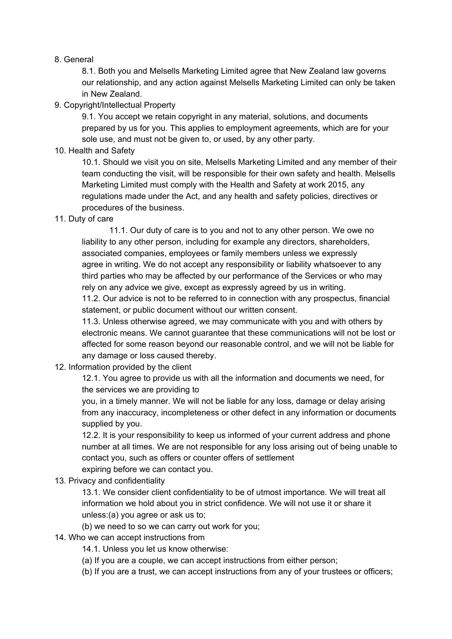#### 8. General

8.1. Both you and Melsells Marketing Limited agree that New Zealand law governs our relationship, and any action against Melsells Marketing Limited can only be taken in New Zealand.

# 9. Copyright/Intellectual Property

9.1. You accept we retain copyright in any material, solutions, and documents prepared by us for you. This applies to employment agreements, which are for your sole use, and must not be given to, or used, by any other party.

10. Health and Safety

10.1. Should we visit you on site, Melsells Marketing Limited and any member of their team conducting the visit, will be responsible for their own safety and health. Melsells Marketing Limited must comply with the Health and Safety at work 2015, any regulations made under the Act, and any health and safety policies, directives or procedures of the business.

11. Duty of care

11.1. Our duty of care is to you and not to any other person. We owe no liability to any other person, including for example any directors, shareholders, associated companies, employees or family members unless we expressly agree in writing. We do not accept any responsibility or liability whatsoever to any third parties who may be affected by our performance of the Services or who may rely on any advice we give, except as expressly agreed by us in writing.

11.2. Our advice is not to be referred to in connection with any prospectus, financial statement, or public document without our written consent.

11.3. Unless otherwise agreed, we may communicate with you and with others by electronic means. We cannot guarantee that these communications will not be lost or affected for some reason beyond our reasonable control, and we will not be liable for any damage or loss caused thereby.

12. Information provided by the client

12.1. You agree to provide us with all the information and documents we need, for the services we are providing to

you, in a timely manner. We will not be liable for any loss, damage or delay arising from any inaccuracy, incompleteness or other defect in any information or documents supplied by you.

12.2. It is your responsibility to keep us informed of your current address and phone number at all times. We are not responsible for any loss arising out of being unable to contact you, such as offers or counter offers of settlement

expiring before we can contact you.

13. Privacy and confidentiality

13.1. We consider client confidentiality to be of utmost importance. We will treat all information we hold about you in strict confidence. We will not use it or share it unless:(a) you agree or ask us to;

(b) we need to so we can carry out work for you;

- 14. Who we can accept instructions from
	- 14.1. Unless you let us know otherwise:
	- (a) If you are a couple, we can accept instructions from either person;
	- (b) If you are a trust, we can accept instructions from any of your trustees or officers;